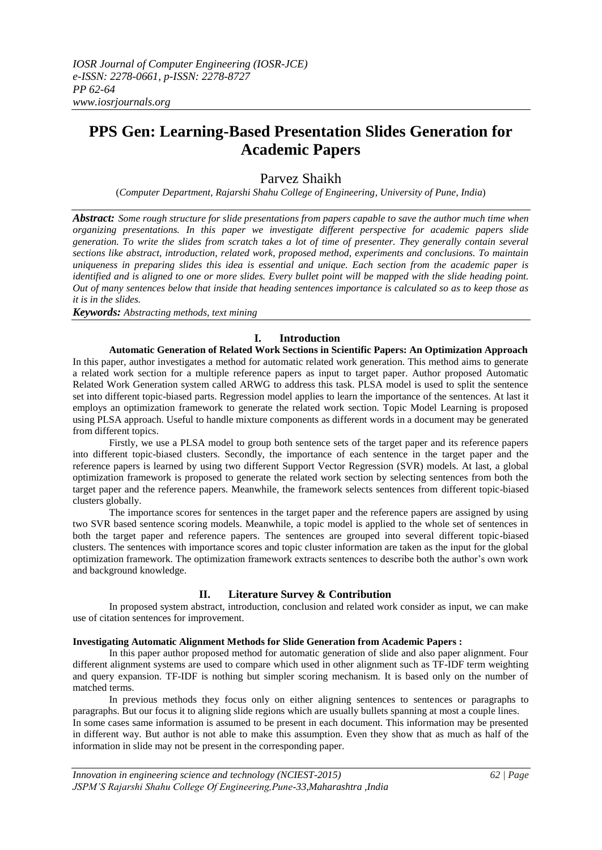# **PPS Gen: Learning-Based Presentation Slides Generation for Academic Papers**

# Parvez Shaikh

(*Computer Department, Rajarshi Shahu College of Engineering, University of Pune, India*)

*Abstract: Some rough structure for slide presentations from papers capable to save the author much time when organizing presentations. In this paper we investigate different perspective for academic papers slide generation. To write the slides from scratch takes a lot of time of presenter. They generally contain several sections like abstract, introduction, related work, proposed method, experiments and conclusions. To maintain uniqueness in preparing slides this idea is essential and unique. Each section from the academic paper is identified and is aligned to one or more slides. Every bullet point will be mapped with the slide heading point. Out of many sentences below that inside that heading sentences importance is calculated so as to keep those as it is in the slides.*

*Keywords: Abstracting methods, text mining*

# **I. Introduction**

**Automatic Generation of Related Work Sections in Scientific Papers: An Optimization Approach** In this paper, author investigates a method for automatic related work generation. This method aims to generate a related work section for a multiple reference papers as input to target paper. Author proposed Automatic Related Work Generation system called ARWG to address this task. PLSA model is used to split the sentence set into different topic-biased parts. Regression model applies to learn the importance of the sentences. At last it employs an optimization framework to generate the related work section. Topic Model Learning is proposed using PLSA approach. Useful to handle mixture components as different words in a document may be generated from different topics.

Firstly, we use a PLSA model to group both sentence sets of the target paper and its reference papers into different topic-biased clusters. Secondly, the importance of each sentence in the target paper and the reference papers is learned by using two different Support Vector Regression (SVR) models. At last, a global optimization framework is proposed to generate the related work section by selecting sentences from both the target paper and the reference papers. Meanwhile, the framework selects sentences from different topic-biased clusters globally.

The importance scores for sentences in the target paper and the reference papers are assigned by using two SVR based sentence scoring models. Meanwhile, a topic model is applied to the whole set of sentences in both the target paper and reference papers. The sentences are grouped into several different topic-biased clusters. The sentences with importance scores and topic cluster information are taken as the input for the global optimization framework. The optimization framework extracts sentences to describe both the author's own work and background knowledge.

# **II. Literature Survey & Contribution**

In proposed system abstract, introduction, conclusion and related work consider as input, we can make use of citation sentences for improvement.

## **Investigating Automatic Alignment Methods for Slide Generation from Academic Papers :**

In this paper author proposed method for automatic generation of slide and also paper alignment. Four different alignment systems are used to compare which used in other alignment such as TF-IDF term weighting and query expansion. TF-IDF is nothing but simpler scoring mechanism. It is based only on the number of matched terms.

In previous methods they focus only on either aligning sentences to sentences or paragraphs to paragraphs. But our focus it to aligning slide regions which are usually bullets spanning at most a couple lines.

In some cases same information is assumed to be present in each document. This information may be presented in different way. But author is not able to make this assumption. Even they show that as much as half of the information in slide may not be present in the corresponding paper.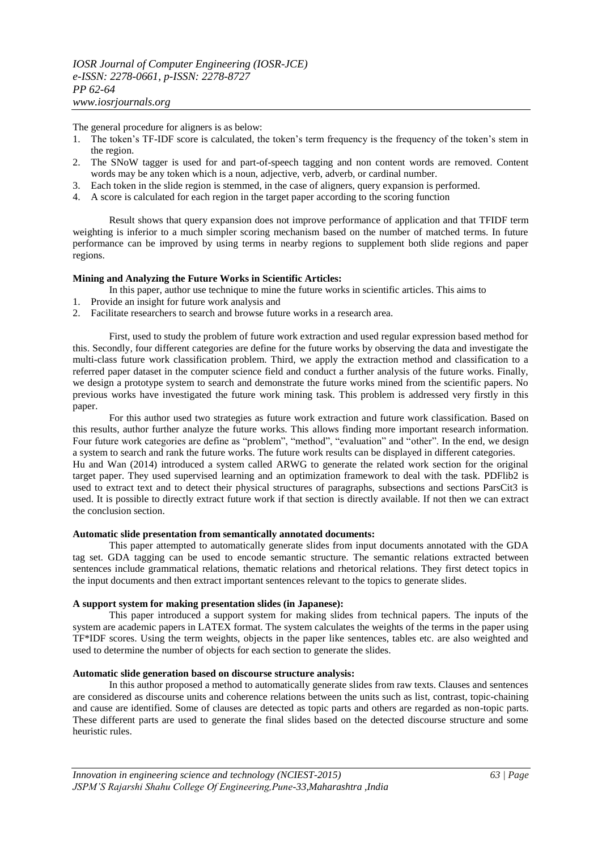The general procedure for aligners is as below:

- 1. The token's TF-IDF score is calculated, the token's term frequency is the frequency of the token's stem in the region.
- 2. The SNoW tagger is used for and part-of-speech tagging and non content words are removed. Content words may be any token which is a noun, adjective, verb, adverb, or cardinal number.
- 3. Each token in the slide region is stemmed, in the case of aligners, query expansion is performed.
- 4. A score is calculated for each region in the target paper according to the scoring function

Result shows that query expansion does not improve performance of application and that TFIDF term weighting is inferior to a much simpler scoring mechanism based on the number of matched terms. In future performance can be improved by using terms in nearby regions to supplement both slide regions and paper regions.

#### **Mining and Analyzing the Future Works in Scientific Articles:**

- In this paper, author use technique to mine the future works in scientific articles. This aims to
- 1. Provide an insight for future work analysis and
- 2. Facilitate researchers to search and browse future works in a research area.

First, used to study the problem of future work extraction and used regular expression based method for this. Secondly, four different categories are define for the future works by observing the data and investigate the multi-class future work classification problem. Third, we apply the extraction method and classification to a referred paper dataset in the computer science field and conduct a further analysis of the future works. Finally, we design a prototype system to search and demonstrate the future works mined from the scientific papers. No previous works have investigated the future work mining task. This problem is addressed very firstly in this paper.

For this author used two strategies as future work extraction and future work classification. Based on this results, author further analyze the future works. This allows finding more important research information. Four future work categories are define as "problem", "method", "evaluation" and "other". In the end, we design a system to search and rank the future works. The future work results can be displayed in different categories. Hu and Wan (2014) introduced a system called ARWG to generate the related work section for the original target paper. They used supervised learning and an optimization framework to deal with the task. PDFlib2 is used to extract text and to detect their physical structures of paragraphs, subsections and sections ParsCit3 is used. It is possible to directly extract future work if that section is directly available. If not then we can extract the conclusion section.

#### **Automatic slide presentation from semantically annotated documents:**

This paper attempted to automatically generate slides from input documents annotated with the GDA tag set. GDA tagging can be used to encode semantic structure. The semantic relations extracted between sentences include grammatical relations, thematic relations and rhetorical relations. They first detect topics in the input documents and then extract important sentences relevant to the topics to generate slides.

## **A support system for making presentation slides (in Japanese):**

This paper introduced a support system for making slides from technical papers. The inputs of the system are academic papers in LATEX format. The system calculates the weights of the terms in the paper using TF\*IDF scores. Using the term weights, objects in the paper like sentences, tables etc. are also weighted and used to determine the number of objects for each section to generate the slides.

#### **Automatic slide generation based on discourse structure analysis:**

In this author proposed a method to automatically generate slides from raw texts. Clauses and sentences are considered as discourse units and coherence relations between the units such as list, contrast, topic-chaining and cause are identified. Some of clauses are detected as topic parts and others are regarded as non-topic parts. These different parts are used to generate the final slides based on the detected discourse structure and some heuristic rules.